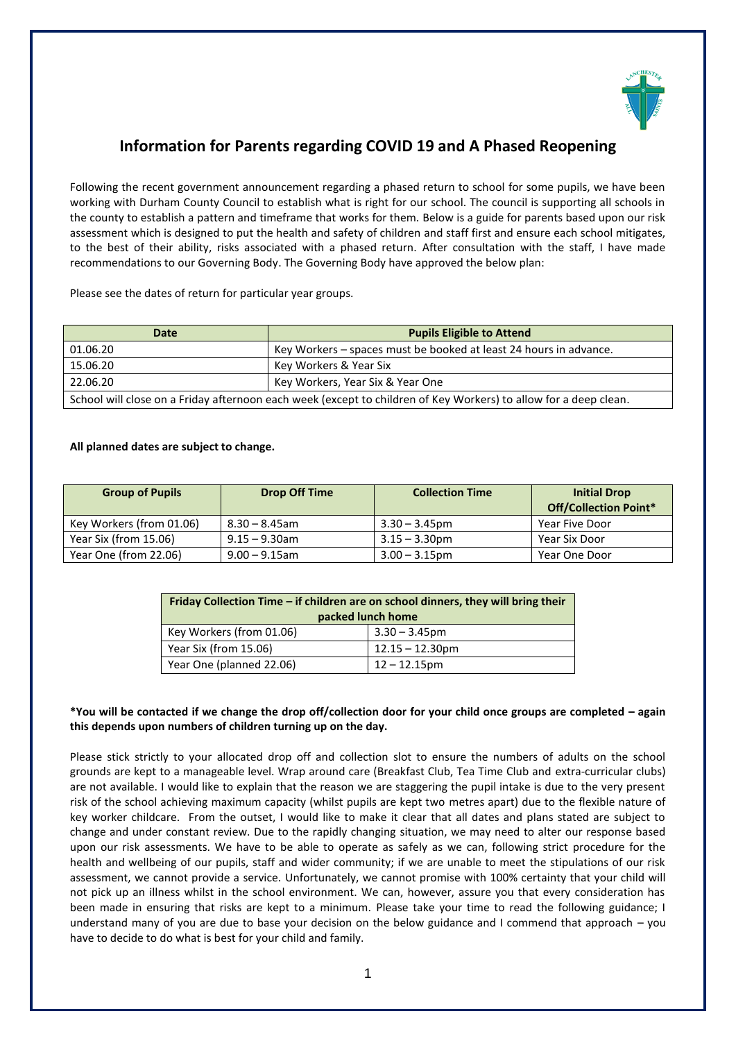

# **Information for Parents regarding COVID 19 and A Phased Reopening**

Following the recent government announcement regarding a phased return to school for some pupils, we have been working with Durham County Council to establish what is right for our school. The council is supporting all schools in the county to establish a pattern and timeframe that works for them. Below is a guide for parents based upon our risk assessment which is designed to put the health and safety of children and staff first and ensure each school mitigates, to the best of their ability, risks associated with a phased return. After consultation with the staff, I have made recommendations to our Governing Body. The Governing Body have approved the below plan:

Please see the dates of return for particular year groups.

| Date                                                                                                             | <b>Pupils Eligible to Attend</b>                                  |  |
|------------------------------------------------------------------------------------------------------------------|-------------------------------------------------------------------|--|
| 01.06.20                                                                                                         | Key Workers – spaces must be booked at least 24 hours in advance. |  |
| 15.06.20                                                                                                         | Key Workers & Year Six                                            |  |
| 22.06.20                                                                                                         | Key Workers, Year Six & Year One                                  |  |
| School will close on a Friday afternoon each week (except to children of Key Workers) to allow for a deep clean. |                                                                   |  |

#### **All planned dates are subject to change.**

| <b>Group of Pupils</b>   | <b>Drop Off Time</b> | <b>Collection Time</b> | <b>Initial Drop</b><br><b>Off/Collection Point*</b> |
|--------------------------|----------------------|------------------------|-----------------------------------------------------|
| Key Workers (from 01.06) | $8.30 - 8.45$ am     | $3.30 - 3.45$ pm       | Year Five Door                                      |
| Year Six (from 15.06)    | $9.15 - 9.30$ am     | $3.15 - 3.30$ pm       | Year Six Door                                       |
| Year One (from 22.06)    | $9.00 - 9.15$ am     | $3.00 - 3.15$ pm       | Year One Door                                       |

| Friday Collection Time – if children are on school dinners, they will bring their |                    |  |  |  |
|-----------------------------------------------------------------------------------|--------------------|--|--|--|
| packed lunch home                                                                 |                    |  |  |  |
| Key Workers (from 01.06)                                                          | $3.30 - 3.45$ pm   |  |  |  |
| Year Six (from 15.06)                                                             | $12.15 - 12.30$ pm |  |  |  |
| Year One (planned 22.06)                                                          | $12 - 12.15$ pm    |  |  |  |

#### **\*You will be contacted if we change the drop off/collection door for your child once groups are completed – again this depends upon numbers of children turning up on the day.**

Please stick strictly to your allocated drop off and collection slot to ensure the numbers of adults on the school grounds are kept to a manageable level. Wrap around care (Breakfast Club, Tea Time Club and extra-curricular clubs) are not available. I would like to explain that the reason we are staggering the pupil intake is due to the very present risk of the school achieving maximum capacity (whilst pupils are kept two metres apart) due to the flexible nature of key worker childcare. From the outset, I would like to make it clear that all dates and plans stated are subject to change and under constant review. Due to the rapidly changing situation, we may need to alter our response based upon our risk assessments. We have to be able to operate as safely as we can, following strict procedure for the health and wellbeing of our pupils, staff and wider community; if we are unable to meet the stipulations of our risk assessment, we cannot provide a service. Unfortunately, we cannot promise with 100% certainty that your child will not pick up an illness whilst in the school environment. We can, however, assure you that every consideration has been made in ensuring that risks are kept to a minimum. Please take your time to read the following guidance; I understand many of you are due to base your decision on the below guidance and I commend that approach – you have to decide to do what is best for your child and family.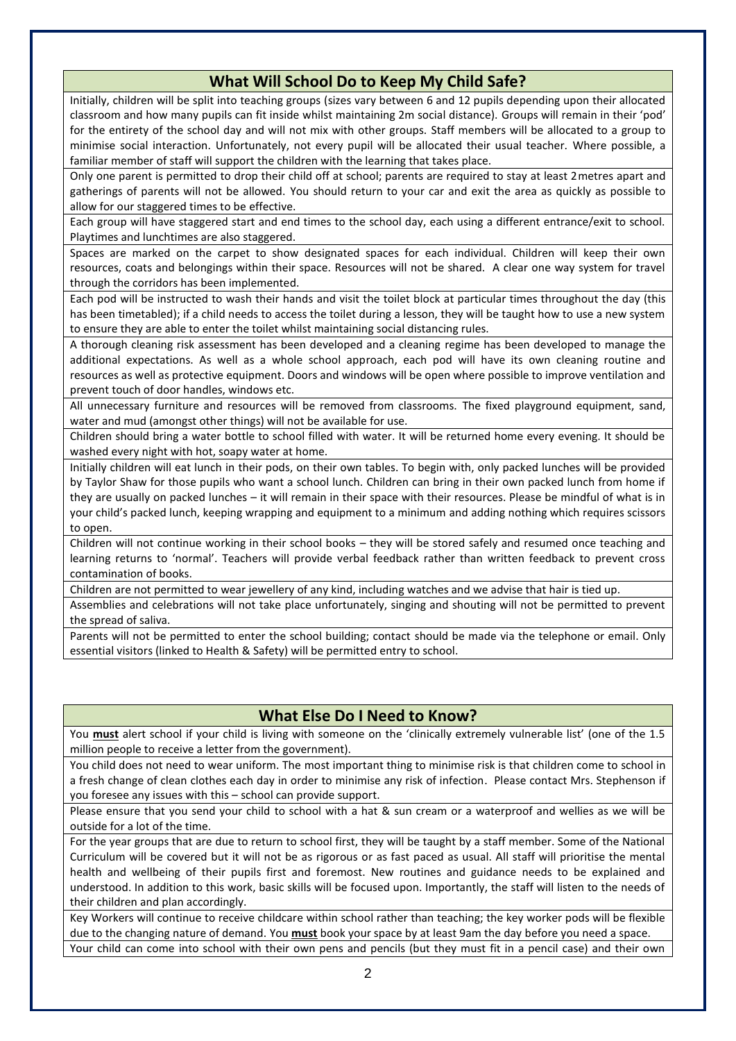# **What Will School Do to Keep My Child Safe?**

Initially, children will be split into teaching groups (sizes vary between 6 and 12 pupils depending upon their allocated classroom and how many pupils can fit inside whilst maintaining 2m social distance). Groups will remain in their 'pod' for the entirety of the school day and will not mix with other groups. Staff members will be allocated to a group to minimise social interaction. Unfortunately, not every pupil will be allocated their usual teacher. Where possible, a familiar member of staff will support the children with the learning that takes place.

Only one parent is permitted to drop their child off at school; parents are required to stay at least 2metres apart and gatherings of parents will not be allowed. You should return to your car and exit the area as quickly as possible to allow for our staggered times to be effective.

Each group will have staggered start and end times to the school day, each using a different entrance/exit to school. Playtimes and lunchtimes are also staggered.

Spaces are marked on the carpet to show designated spaces for each individual. Children will keep their own resources, coats and belongings within their space. Resources will not be shared. A clear one way system for travel through the corridors has been implemented.

Each pod will be instructed to wash their hands and visit the toilet block at particular times throughout the day (this has been timetabled); if a child needs to access the toilet during a lesson, they will be taught how to use a new system to ensure they are able to enter the toilet whilst maintaining social distancing rules.

A thorough cleaning risk assessment has been developed and a cleaning regime has been developed to manage the additional expectations. As well as a whole school approach, each pod will have its own cleaning routine and resources as well as protective equipment. Doors and windows will be open where possible to improve ventilation and prevent touch of door handles, windows etc.

All unnecessary furniture and resources will be removed from classrooms. The fixed playground equipment, sand, water and mud (amongst other things) will not be available for use.

Children should bring a water bottle to school filled with water. It will be returned home every evening. It should be washed every night with hot, soapy water at home.

Initially children will eat lunch in their pods, on their own tables. To begin with, only packed lunches will be provided by Taylor Shaw for those pupils who want a school lunch. Children can bring in their own packed lunch from home if they are usually on packed lunches – it will remain in their space with their resources. Please be mindful of what is in your child's packed lunch, keeping wrapping and equipment to a minimum and adding nothing which requires scissors to open.

Children will not continue working in their school books – they will be stored safely and resumed once teaching and learning returns to 'normal'. Teachers will provide verbal feedback rather than written feedback to prevent cross contamination of books.

Children are not permitted to wear jewellery of any kind, including watches and we advise that hair is tied up.

Assemblies and celebrations will not take place unfortunately, singing and shouting will not be permitted to prevent the spread of saliva.

Parents will not be permitted to enter the school building; contact should be made via the telephone or email. Only essential visitors (linked to Health & Safety) will be permitted entry to school.

### **What Else Do I Need to Know?**

You **must** alert school if your child is living with someone on the 'clinically extremely vulnerable list' (one of the 1.5 million people to receive a letter from the government).

You child does not need to wear uniform. The most important thing to minimise risk is that children come to school in a fresh change of clean clothes each day in order to minimise any risk of infection. Please contact Mrs. Stephenson if you foresee any issues with this – school can provide support.

Please ensure that you send your child to school with a hat & sun cream or a waterproof and wellies as we will be outside for a lot of the time.

For the year groups that are due to return to school first, they will be taught by a staff member. Some of the National Curriculum will be covered but it will not be as rigorous or as fast paced as usual. All staff will prioritise the mental health and wellbeing of their pupils first and foremost. New routines and guidance needs to be explained and understood. In addition to this work, basic skills will be focused upon. Importantly, the staff will listen to the needs of their children and plan accordingly.

Key Workers will continue to receive childcare within school rather than teaching; the key worker pods will be flexible due to the changing nature of demand. You **must** book your space by at least 9am the day before you need a space. Your child can come into school with their own pens and pencils (but they must fit in a pencil case) and their own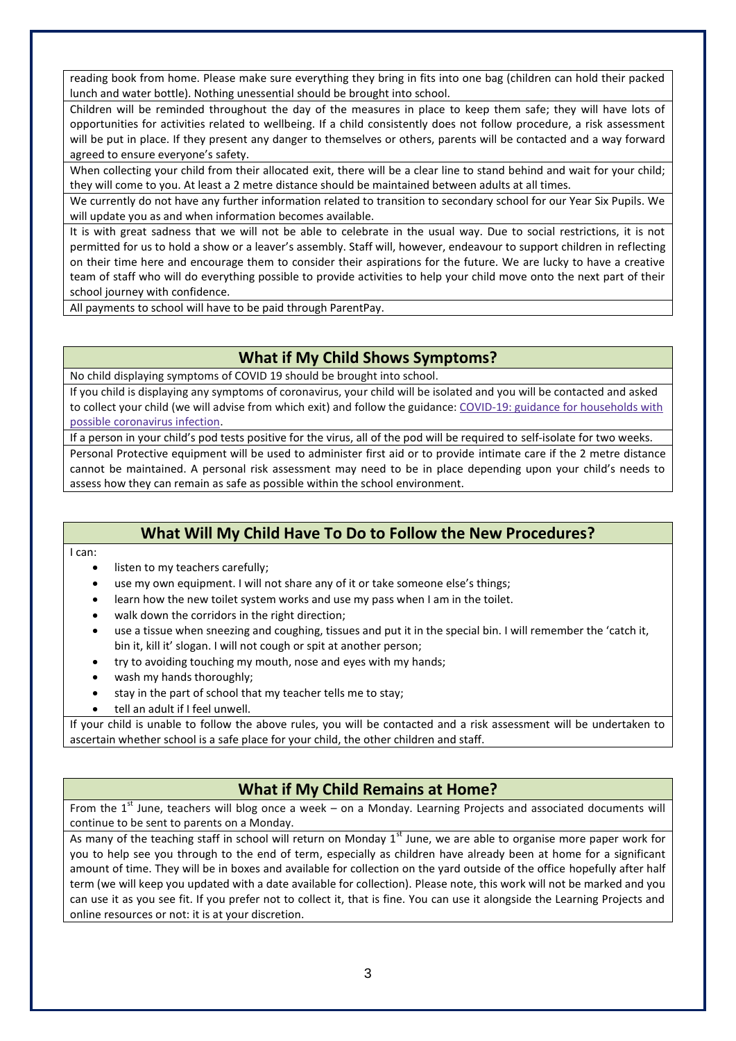reading book from home. Please make sure everything they bring in fits into one bag (children can hold their packed lunch and water bottle). Nothing unessential should be brought into school.

Children will be reminded throughout the day of the measures in place to keep them safe; they will have lots of opportunities for activities related to wellbeing. If a child consistently does not follow procedure, a risk assessment will be put in place. If they present any danger to themselves or others, parents will be contacted and a way forward agreed to ensure everyone's safety.

When collecting your child from their allocated exit, there will be a clear line to stand behind and wait for your child; they will come to you. At least a 2 metre distance should be maintained between adults at all times.

We currently do not have any further information related to transition to secondary school for our Year Six Pupils. We will update you as and when information becomes available.

It is with great sadness that we will not be able to celebrate in the usual way. Due to social restrictions, it is not permitted for us to hold a show or a leaver's assembly. Staff will, however, endeavour to support children in reflecting on their time here and encourage them to consider their aspirations for the future. We are lucky to have a creative team of staff who will do everything possible to provide activities to help your child move onto the next part of their school journey with confidence.

All payments to school will have to be paid through ParentPay.

#### **What if My Child Shows Symptoms?**

No child displaying symptoms of COVID 19 should be brought into school.

If you child is displaying any symptoms of coronavirus, your child will be isolated and you will be contacted and asked to collect your child (we will advise from which exit) and follow the guidance: COVID-19: guidance for [households](https://www.gov.uk/government/publications/covid-19-stay-at-home-guidance) with possible [coronavirus](https://www.gov.uk/government/publications/covid-19-stay-at-home-guidance) infection.

If a person in your child's pod tests positive for the virus, all of the pod will be required to self-isolate for two weeks.

Personal Protective equipment will be used to administer first aid or to provide intimate care if the 2 metre distance cannot be maintained. A personal risk assessment may need to be in place depending upon your child's needs to assess how they can remain as safe as possible within the school environment.

# **What Will My Child Have To Do to Follow the New Procedures?**

I can:

- listen to my teachers carefully;
- use my own equipment. I will not share any of it or take someone else's things;
- learn how the new toilet system works and use my pass when I am in the toilet.
- walk down the corridors in the right direction;
- use a tissue when sneezing and coughing, tissues and put it in the special bin. I will remember the 'catch it, bin it, kill it' slogan. I will not cough or spit at another person;
- try to avoiding touching my mouth, nose and eyes with my hands;
- wash my hands thoroughly;
- stay in the part of school that my teacher tells me to stay;
- tell an adult if I feel unwell.

If your child is unable to follow the above rules, you will be contacted and a risk assessment will be undertaken to ascertain whether school is a safe place for your child, the other children and staff.

### **What if My Child Remains at Home?**

From the  $1<sup>st</sup>$  June, teachers will blog once a week – on a Monday. Learning Projects and associated documents will continue to be sent to parents on a Monday.

As many of the teaching staff in school will return on Monday  $1<sup>st</sup>$  June, we are able to organise more paper work for you to help see you through to the end of term, especially as children have already been at home for a significant amount of time. They will be in boxes and available for collection on the yard outside of the office hopefully after half term (we will keep you updated with a date available for collection). Please note, this work will not be marked and you can use it as you see fit. If you prefer not to collect it, that is fine. You can use it alongside the Learning Projects and online resources or not: it is at your discretion.